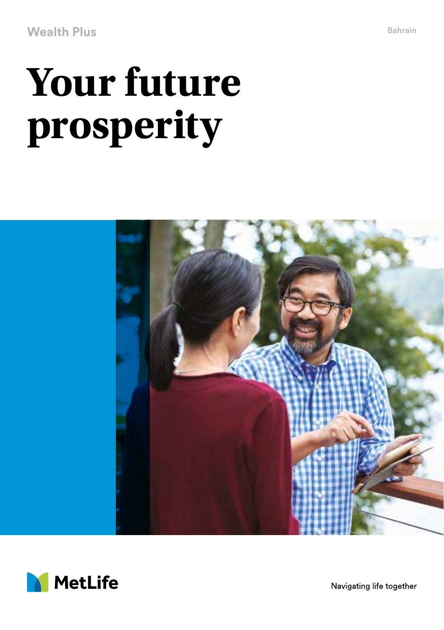# **Your future prosperity**





Navigating life together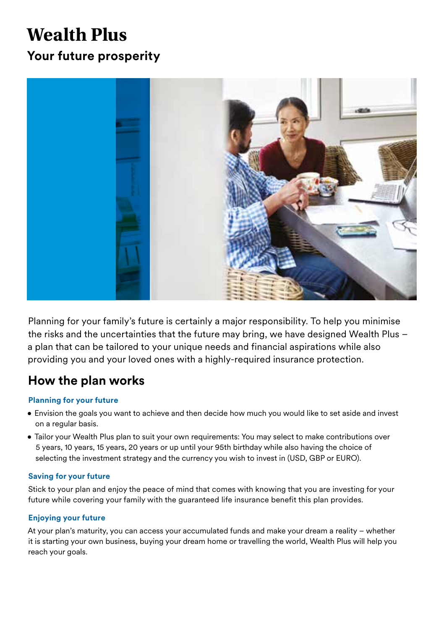## **Wealth Plus Your future prosperity**



Planning for your family's future is certainly a major responsibility. To help you minimise the risks and the uncertainties that the future may bring, we have designed Wealth Plus – a plan that can be tailored to your unique needs and financial aspirations while also providing you and your loved ones with a highly-required insurance protection.

### **How the plan works**

#### **Planning for your future**

- Envision the goals you want to achieve and then decide how much you would like to set aside and invest on a regular basis.
- Tailor your Wealth Plus plan to suit your own requirements: You may select to make contributions over 5 years, 10 years, 15 years, 20 years or up until your 95th birthday while also having the choice of selecting the investment strategy and the currency you wish to invest in (USD, GBP or EURO).

#### **Saving for your future**

Stick to your plan and enjoy the peace of mind that comes with knowing that you are investing for your future while covering your family with the guaranteed life insurance benefit this plan provides.

#### **Enjoying your future**

At your plan's maturity, you can access your accumulated funds and make your dream a reality – whether it is starting your own business, buying your dream home or travelling the world, Wealth Plus will help you reach your goals.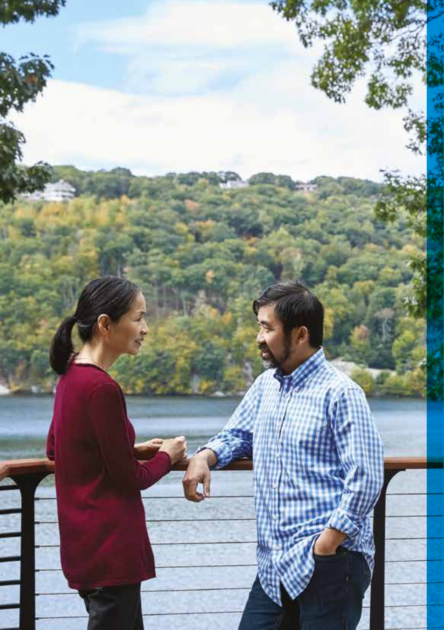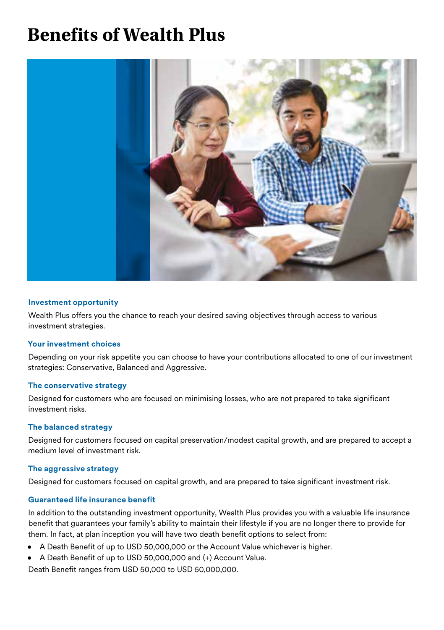## **Benefits of Wealth Plus**



#### **Investment opportunity**

Wealth Plus offers you the chance to reach your desired saving objectives through access to various investment strategies.

#### **Your investment choices**

Depending on your risk appetite you can choose to have your contributions allocated to one of our investment strategies: Conservative, Balanced and Aggressive.

#### **The conservative strategy**

Designed for customers who are focused on minimising losses, who are not prepared to take significant investment risks.

#### **The balanced strategy**

Designed for customers focused on capital preservation/modest capital growth, and are prepared to accept a medium level of investment risk.

#### **The aggressive strategy**

Designed for customers focused on capital growth, and are prepared to take significant investment risk.

#### **Guaranteed life insurance benefit**

In addition to the outstanding investment opportunity, Wealth Plus provides you with a valuable life insurance benefit that guarantees your family's ability to maintain their lifestyle if you are no longer there to provide for them. In fact, at plan inception you will have two death benefit options to select from:

- A Death Benefit of up to USD 50,000,000 or the Account Value whichever is higher.
- A Death Benefit of up to USD 50,000,000 and (+) Account Value.

Death Benefit ranges from USD 50,000 to USD 50,000,000.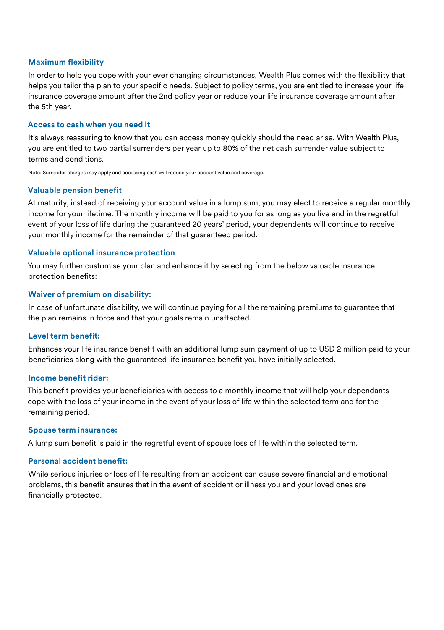#### **Maximum flexibility**

In order to help you cope with your ever changing circumstances, Wealth Plus comes with the flexibility that helps you tailor the plan to your specific needs. Subject to policy terms, you are entitled to increase your life insurance coverage amount after the 2nd policy year or reduce your life insurance coverage amount after the 5th year.

#### **Access to cash when you need it**

It's always reassuring to know that you can access money quickly should the need arise. With Wealth Plus, you are entitled to two partial surrenders per year up to 80% of the net cash surrender value subject to terms and conditions.

Note: Surrender charges may apply and accessing cash will reduce your account value and coverage.

#### **Valuable pension benefit**

At maturity, instead of receiving your account value in a lump sum, you may elect to receive a regular monthly income for your lifetime. The monthly income will be paid to you for as long as you live and in the regretful event of your loss of life during the guaranteed 20 years' period, your dependents will continue to receive your monthly income for the remainder of that guaranteed period.

#### **Valuable optional insurance protection**

You may further customise your plan and enhance it by selecting from the below valuable insurance protection benefits:

#### **Waiver of premium on disability:**

In case of unfortunate disability, we will continue paying for all the remaining premiums to guarantee that the plan remains in force and that your goals remain unaffected.

#### **Level term benefit:**

Enhances your life insurance benefit with an additional lump sum payment of up to USD 2 million paid to your beneficiaries along with the guaranteed life insurance benefit you have initially selected.

#### **Income benefit rider:**

This benefit provides your beneficiaries with access to a monthly income that will help your dependants cope with the loss of your income in the event of your loss of life within the selected term and for the remaining period.

#### **Spouse term insurance:**

A lump sum benefit is paid in the regretful event of spouse loss of life within the selected term.

#### **Personal accident benefit:**

While serious injuries or loss of life resulting from an accident can cause severe financial and emotional problems, this benefit ensures that in the event of accident or illness you and your loved ones are financially protected.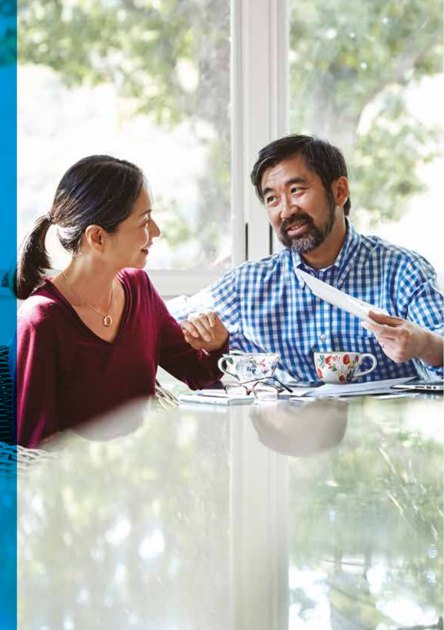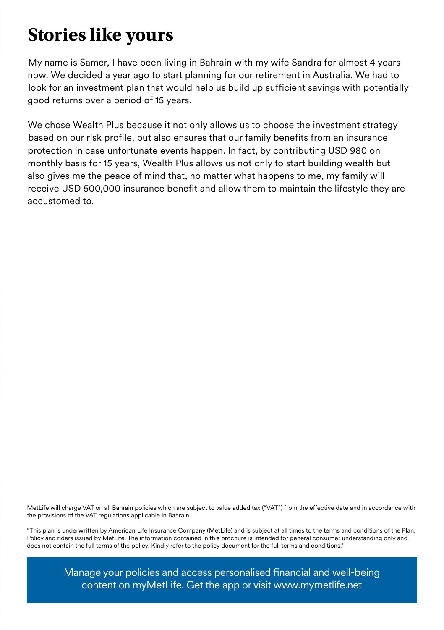## **Stories like yours**

My name is Samer, I have been living in Bahrain with my wife Sandra for almost 4 years now. We decided a year ago to start planning for our retirement in Australia. We had to look for an investment plan that would help us build up sufficient savings with potentially good returns over a period of 15 years.

We chose Wealth Plus because it not only allows us to choose the investment strategy based on our risk profile, but also ensures that our family benefits from an insurance protection in case unfortunate events happen. In fact, by contributing USD 980 on monthly basis for 15 years, Wealth Plus allows us not only to start building wealth but also gives me the peace of mind that, no matter what happens to me, my family will receive USD 500,000 insurance benefit and allow them to maintain the lifestyle they are accustomed to.

MetLife will charge VAT on all Bahrain policies which are subject to value added tax ("VAT") from the effective date and in accordance with the provisions of the VAT regulations applicable in Bahrain.

"This plan is underwritten by American Life Insurance Company (MetLife) and is subject at all times to the terms and conditions of the Plan, Policy and riders issued by MetLife. The information contained in this brochure is intended for general consumer understanding only and does not contain the full terms of the policy. Kindly refer to the policy document for the full terms and conditions."

Manage your policies and access personalised financial and well-being content on myMetLife. Get the app or visit www.mymetlife.net